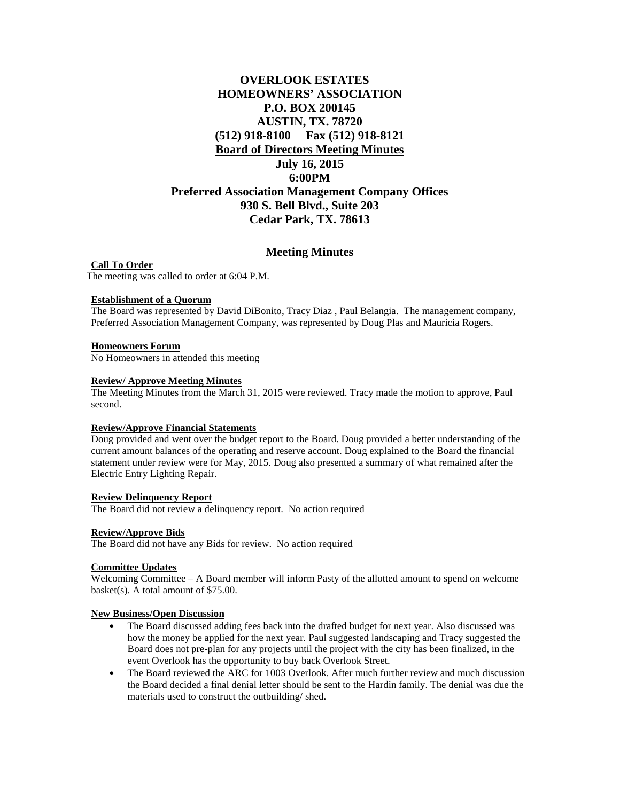# **OVERLOOK ESTATES HOMEOWNERS' ASSOCIATION P.O. BOX 200145 AUSTIN, TX. 78720 (512) 918-8100 Fax (512) 918-8121 Board of Directors Meeting Minutes July 16, 2015 6:00PM Preferred Association Management Company Offices 930 S. Bell Blvd., Suite 203 Cedar Park, TX. 78613**

## **Meeting Minutes**

**Call To Order** The meeting was called to order at 6:04 P.M.

## **Establishment of a Quorum**

The Board was represented by David DiBonito, Tracy Diaz , Paul Belangia. The management company, Preferred Association Management Company, was represented by Doug Plas and Mauricia Rogers.

## **Homeowners Forum**

No Homeowners in attended this meeting

## **Review/ Approve Meeting Minutes**

The Meeting Minutes from the March 31, 2015 were reviewed. Tracy made the motion to approve, Paul second.

## **Review/Approve Financial Statements**

Doug provided and went over the budget report to the Board. Doug provided a better understanding of the current amount balances of the operating and reserve account. Doug explained to the Board the financial statement under review were for May, 2015. Doug also presented a summary of what remained after the Electric Entry Lighting Repair.

## **Review Delinquency Report**

The Board did not review a delinquency report. No action required

#### **Review/Approve Bids**

The Board did not have any Bids for review. No action required

## **Committee Updates**

Welcoming Committee – A Board member will inform Pasty of the allotted amount to spend on welcome basket(s). A total amount of \$75.00.

#### **New Business/Open Discussion**

- The Board discussed adding fees back into the drafted budget for next year. Also discussed was how the money be applied for the next year. Paul suggested landscaping and Tracy suggested the Board does not pre-plan for any projects until the project with the city has been finalized, in the event Overlook has the opportunity to buy back Overlook Street.
- The Board reviewed the ARC for 1003 Overlook. After much further review and much discussion the Board decided a final denial letter should be sent to the Hardin family. The denial was due the materials used to construct the outbuilding/ shed.